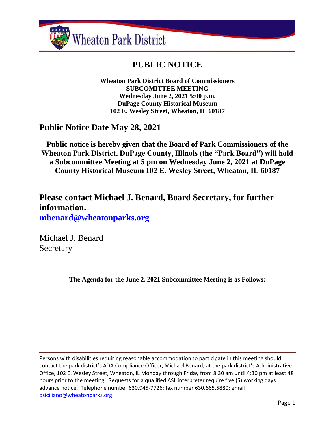

# **PUBLIC NOTICE**

**Wheaton Park District Board of Commissioners SUBCOMITTEE MEETING Wednesday June 2, 2021 5:00 p.m. DuPage County Historical Museum 102 E. Wesley Street, Wheaton, IL 60187**

## **Public Notice Date May 28, 2021**

**Public notice is hereby given that the Board of Park Commissioners of the Wheaton Park District, DuPage County, Illinois (the "Park Board") will hold a Subcommittee Meeting at 5 pm on Wednesday June 2, 2021 at DuPage County Historical Museum 102 E. Wesley Street, Wheaton, IL 60187**

**Please contact Michael J. Benard, Board Secretary, for further information. [mbenard@wheatonparks.org](mailto:mbenard@wheatonparks.org)**

Michael J. Benard Secretary

**The Agenda for the June 2, 2021 Subcommittee Meeting is as Follows:**

Persons with disabilities requiring reasonable accommodation to participate in this meeting should contact the park district's ADA Compliance Officer, Michael Benard, at the park district's Administrative Office, 102 E. Wesley Street, Wheaton, IL Monday through Friday from 8:30 am until 4:30 pm at least 48 hours prior to the meeting. Requests for a qualified ASL interpreter require five (5) working days advance notice. Telephone number 630.945-7726; fax number 630.665.5880; email [dsiciliano@wheatonparks.org](mailto:dsiciliano@wheatonparks.org)